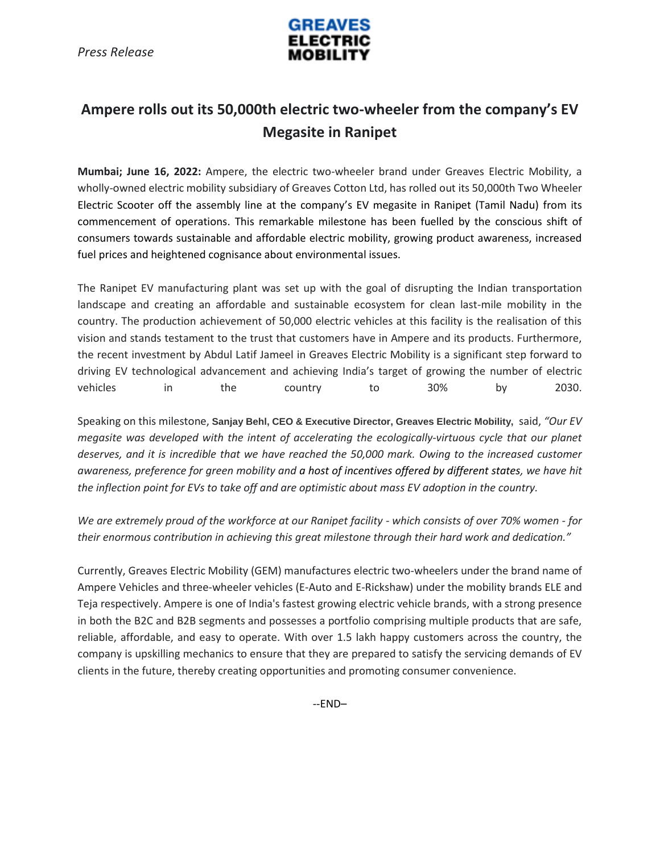

## **Ampere rolls out its 50,000th electric two-wheeler from the company's EV Megasite in Ranipet**

**Mumbai; June 16, 2022:** Ampere, the electric two-wheeler brand under Greaves Electric Mobility, a wholly-owned electric mobility subsidiary of Greaves Cotton Ltd, has rolled out its 50,000th Two Wheeler Electric Scooter off the assembly line at the company's EV megasite in Ranipet (Tamil Nadu) from its commencement of operations. This remarkable milestone has been fuelled by the conscious shift of consumers towards sustainable and affordable electric mobility, growing product awareness, increased fuel prices and heightened cognisance about environmental issues.

The Ranipet EV manufacturing plant was set up with the goal of disrupting the Indian transportation landscape and creating an affordable and sustainable ecosystem for clean last-mile mobility in the country. The production achievement of 50,000 electric vehicles at this facility is the realisation of this vision and stands testament to the trust that customers have in Ampere and its products. Furthermore, the recent investment by Abdul Latif Jameel in Greaves Electric Mobility is a significant step forward to driving EV technological advancement and achieving India's target of growing the number of electric vehicles in the country to 30% by 2030.

Speaking on this milestone, **Sanjay Behl, CEO & Executive Director, Greaves Electric Mobility,** said, *"Our EV megasite was developed with the intent of accelerating the ecologically-virtuous cycle that our planet deserves, and it is incredible that we have reached the 50,000 mark. Owing to the increased customer awareness, preference for green mobility and a host of incentives offered by different states, we have hit the inflection point for EVs to take off and are optimistic about mass EV adoption in the country.*

*We are extremely proud of the workforce at our Ranipet facility - which consists of over 70% women - for their enormous contribution in achieving this great milestone through their hard work and dedication."* 

Currently, Greaves Electric Mobility (GEM) manufactures electric two-wheelers under the brand name of Ampere Vehicles and three-wheeler vehicles (E-Auto and E-Rickshaw) under the mobility brands ELE and Teja respectively. Ampere is one of India's fastest growing electric vehicle brands, with a strong presence in both the B2C and B2B segments and possesses a portfolio comprising multiple products that are safe, reliable, affordable, and easy to operate. With over 1.5 lakh happy customers across the country, the company is upskilling mechanics to ensure that they are prepared to satisfy the servicing demands of EV clients in the future, thereby creating opportunities and promoting consumer convenience.

--END–